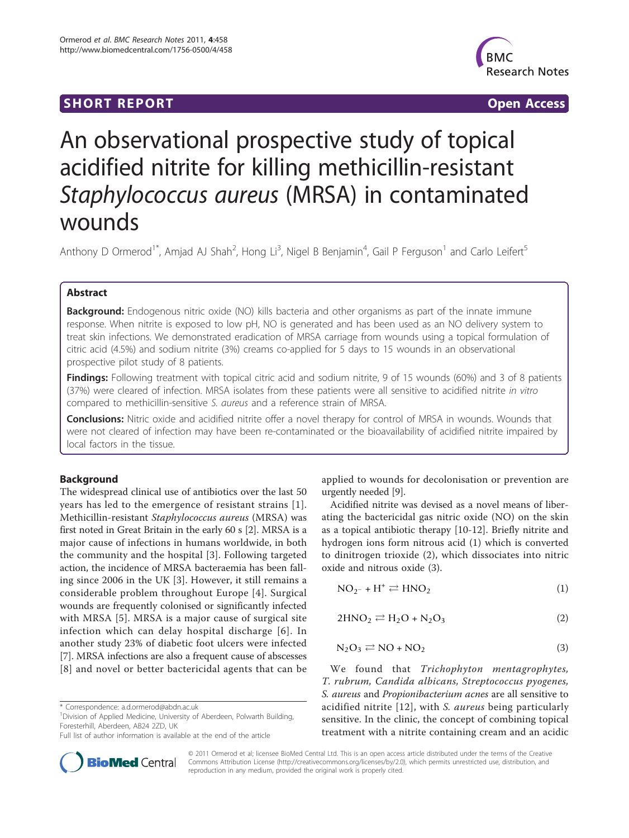## **SHORT REPORT SHORT CONSUMING THE SHORT CONSUMING THE SHORT CONSUMING THE SHORT CONSUMING THE SHORT CONSUMING THE SHORT CONSUMING THE SHORT CONSUMING THE SHORT CONSUMING THE SHORT CONSUMING THE SHORT CONSUMING THE SHORT**



# An observational prospective study of topical acidified nitrite for killing methicillin-resistant Staphylococcus aureus (MRSA) in contaminated wounds

Anthony D Ormerod<sup>1\*</sup>, Amjad AJ Shah<sup>2</sup>, Hong Li<sup>3</sup>, Nigel B Benjamin<sup>4</sup>, Gail P Ferguson<sup>1</sup> and Carlo Leifert<sup>5</sup>

## Abstract

**Background:** Endogenous nitric oxide (NO) kills bacteria and other organisms as part of the innate immune response. When nitrite is exposed to low pH, NO is generated and has been used as an NO delivery system to treat skin infections. We demonstrated eradication of MRSA carriage from wounds using a topical formulation of citric acid (4.5%) and sodium nitrite (3%) creams co-applied for 5 days to 15 wounds in an observational prospective pilot study of 8 patients.

Findings: Following treatment with topical citric acid and sodium nitrite, 9 of 15 wounds (60%) and 3 of 8 patients (37%) were cleared of infection. MRSA isolates from these patients were all sensitive to acidified nitrite in vitro compared to methicillin-sensitive S. aureus and a reference strain of MRSA.

**Conclusions:** Nitric oxide and acidified nitrite offer a novel therapy for control of MRSA in wounds. Wounds that were not cleared of infection may have been re-contaminated or the bioavailability of acidified nitrite impaired by local factors in the tissue.

## Background

The widespread clinical use of antibiotics over the last 50 years has led to the emergence of resistant strains [[1\]](#page-5-0). Methicillin-resistant Staphylococcus aureus (MRSA) was first noted in Great Britain in the early 60 s [\[2\]](#page-5-0). MRSA is a major cause of infections in humans worldwide, in both the community and the hospital [\[3\]](#page-5-0). Following targeted action, the incidence of MRSA bacteraemia has been falling since 2006 in the UK [\[3](#page-5-0)]. However, it still remains a considerable problem throughout Europe [[4](#page-5-0)]. Surgical wounds are frequently colonised or significantly infected with MRSA [[5\]](#page-5-0). MRSA is a major cause of surgical site infection which can delay hospital discharge [[6](#page-5-0)]. In another study 23% of diabetic foot ulcers were infected [[7\]](#page-6-0). MRSA infections are also a frequent cause of abscesses [[8](#page-6-0)] and novel or better bactericidal agents that can be

\* Correspondence: [a.d.ormerod@abdn.ac.uk](mailto:a.d.ormerod@abdn.ac.uk)

<sup>1</sup> Division of Applied Medicine, University of Aberdeen, Polwarth Building, Foresterhill, Aberdeen, AB24 2ZD, UK



Acidified nitrite was devised as a novel means of liberating the bactericidal gas nitric oxide (NO) on the skin as a topical antibiotic therapy [[10-12\]](#page-6-0). Briefly nitrite and hydrogen ions form nitrous acid (1) which is converted to dinitrogen trioxide (2), which dissociates into nitric oxide and nitrous oxide (3).

$$
NO_{2^{-}} + H^{+} \rightleftarrows HNO_{2}
$$
 (1)

$$
2HNO2 \rightleftarrows H2O + N2O3
$$
 (2)

$$
N_2O_3 \rightleftarrows NO + NO_2 \tag{3}
$$

We found that Trichophyton mentagrophytes, T. rubrum, Candida albicans, Streptococcus pyogenes, S. aureus and Propionibacterium acnes are all sensitive to acidified nitrite [[12\]](#page-6-0), with S. aureus being particularly sensitive. In the clinic, the concept of combining topical treatment with a nitrite containing cream and an acidic



© 2011 Ormerod et al; licensee BioMed Central Ltd. This is an open access article distributed under the terms of the Creative Commons Attribution License [\(http://creativecommons.org/licenses/by/2.0](http://creativecommons.org/licenses/by/2.0)), which permits unrestricted use, distribution, and reproduction in any medium, provided the original work is properly cited.

Full list of author information is available at the end of the article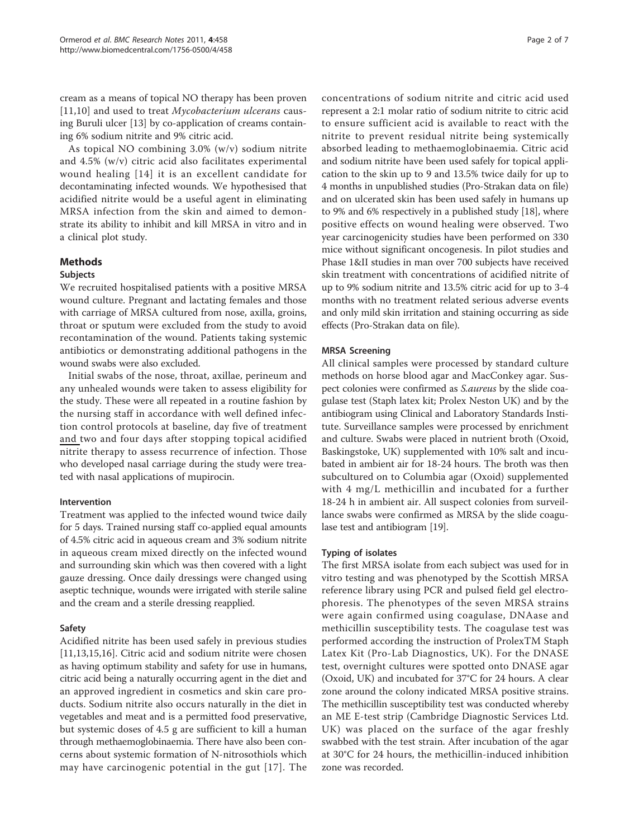cream as a means of topical NO therapy has been proven [[11,10](#page-6-0)] and used to treat Mycobacterium ulcerans causing Buruli ulcer [\[13\]](#page-6-0) by co-application of creams containing 6% sodium nitrite and 9% citric acid.

As topical NO combining 3.0% (w/v) sodium nitrite and 4.5% (w/v) citric acid also facilitates experimental wound healing [[14\]](#page-6-0) it is an excellent candidate for decontaminating infected wounds. We hypothesised that acidified nitrite would be a useful agent in eliminating MRSA infection from the skin and aimed to demonstrate its ability to inhibit and kill MRSA in vitro and in a clinical plot study.

## Methods

## Subjects

We recruited hospitalised patients with a positive MRSA wound culture. Pregnant and lactating females and those with carriage of MRSA cultured from nose, axilla, groins, throat or sputum were excluded from the study to avoid recontamination of the wound. Patients taking systemic antibiotics or demonstrating additional pathogens in the wound swabs were also excluded.

Initial swabs of the nose, throat, axillae, perineum and any unhealed wounds were taken to assess eligibility for the study. These were all repeated in a routine fashion by the nursing staff in accordance with well defined infection control protocols at baseline, day five of treatment and two and four days after stopping topical acidified nitrite therapy to assess recurrence of infection. Those who developed nasal carriage during the study were treated with nasal applications of mupirocin.

## Intervention

Treatment was applied to the infected wound twice daily for 5 days. Trained nursing staff co-applied equal amounts of 4.5% citric acid in aqueous cream and 3% sodium nitrite in aqueous cream mixed directly on the infected wound and surrounding skin which was then covered with a light gauze dressing. Once daily dressings were changed using aseptic technique, wounds were irrigated with sterile saline and the cream and a sterile dressing reapplied.

## Safety

Acidified nitrite has been used safely in previous studies [[11,13,15,16\]](#page-6-0). Citric acid and sodium nitrite were chosen as having optimum stability and safety for use in humans, citric acid being a naturally occurring agent in the diet and an approved ingredient in cosmetics and skin care products. Sodium nitrite also occurs naturally in the diet in vegetables and meat and is a permitted food preservative, but systemic doses of 4.5 g are sufficient to kill a human through methaemoglobinaemia. There have also been concerns about systemic formation of N-nitrosothiols which may have carcinogenic potential in the gut [[17](#page-6-0)]. The concentrations of sodium nitrite and citric acid used represent a 2:1 molar ratio of sodium nitrite to citric acid to ensure sufficient acid is available to react with the nitrite to prevent residual nitrite being systemically absorbed leading to methaemoglobinaemia. Citric acid and sodium nitrite have been used safely for topical application to the skin up to 9 and 13.5% twice daily for up to 4 months in unpublished studies (Pro-Strakan data on file) and on ulcerated skin has been used safely in humans up to 9% and 6% respectively in a published study [[18](#page-6-0)], where positive effects on wound healing were observed. Two year carcinogenicity studies have been performed on 330 mice without significant oncogenesis. In pilot studies and Phase 1&II studies in man over 700 subjects have received skin treatment with concentrations of acidified nitrite of up to 9% sodium nitrite and 13.5% citric acid for up to 3-4 months with no treatment related serious adverse events and only mild skin irritation and staining occurring as side effects (Pro-Strakan data on file).

## MRSA Screening

All clinical samples were processed by standard culture methods on horse blood agar and MacConkey agar. Suspect colonies were confirmed as S.aureus by the slide coagulase test (Staph latex kit; Prolex Neston UK) and by the antibiogram using Clinical and Laboratory Standards Institute. Surveillance samples were processed by enrichment and culture. Swabs were placed in nutrient broth (Oxoid, Baskingstoke, UK) supplemented with 10% salt and incubated in ambient air for 18-24 hours. The broth was then subcultured on to Columbia agar (Oxoid) supplemented with 4 mg/L methicillin and incubated for a further 18-24 h in ambient air. All suspect colonies from surveillance swabs were confirmed as MRSA by the slide coagulase test and antibiogram [\[19\]](#page-6-0).

## Typing of isolates

The first MRSA isolate from each subject was used for in vitro testing and was phenotyped by the Scottish MRSA reference library using PCR and pulsed field gel electrophoresis. The phenotypes of the seven MRSA strains were again confirmed using coagulase, DNAase and methicillin susceptibility tests. The coagulase test was performed according the instruction of ProlexTM Staph Latex Kit (Pro-Lab Diagnostics, UK). For the DNASE test, overnight cultures were spotted onto DNASE agar (Oxoid, UK) and incubated for 37°C for 24 hours. A clear zone around the colony indicated MRSA positive strains. The methicillin susceptibility test was conducted whereby an ME E-test strip (Cambridge Diagnostic Services Ltd. UK) was placed on the surface of the agar freshly swabbed with the test strain. After incubation of the agar at 30°C for 24 hours, the methicillin-induced inhibition zone was recorded.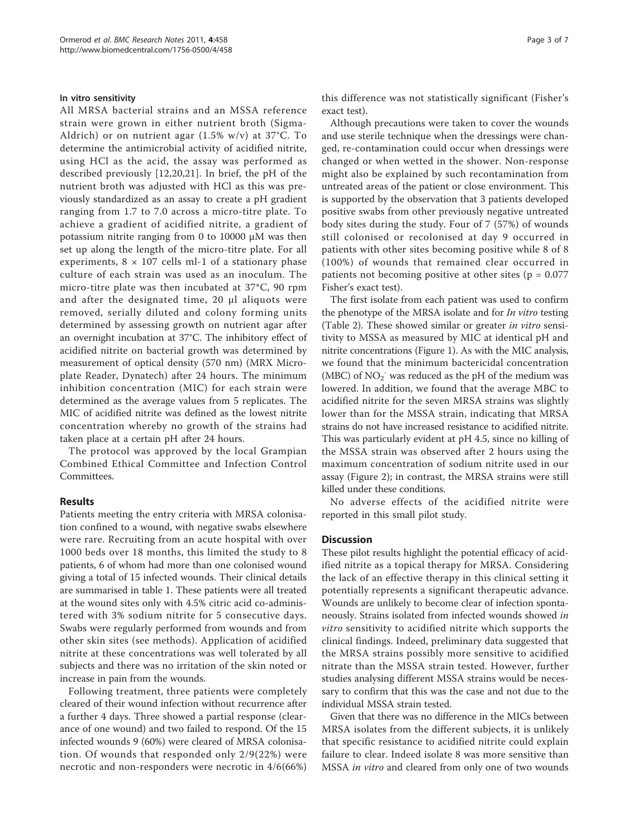#### In vitro sensitivity

All MRSA bacterial strains and an MSSA reference strain were grown in either nutrient broth (Sigma-Aldrich) or on nutrient agar (1.5% w/v) at 37°C. To determine the antimicrobial activity of acidified nitrite, using HCl as the acid, the assay was performed as described previously [\[12](#page-6-0),[20,21](#page-6-0)]. In brief, the pH of the nutrient broth was adjusted with HCl as this was previously standardized as an assay to create a pH gradient ranging from 1.7 to 7.0 across a micro-titre plate. To achieve a gradient of acidified nitrite, a gradient of potassium nitrite ranging from 0 to 10000 μM was then set up along the length of the micro-titre plate. For all experiments,  $8 \times 107$  cells ml-1 of a stationary phase culture of each strain was used as an inoculum. The micro-titre plate was then incubated at 37\*C, 90 rpm and after the designated time, 20 μl aliquots were removed, serially diluted and colony forming units determined by assessing growth on nutrient agar after an overnight incubation at 37°C. The inhibitory effect of acidified nitrite on bacterial growth was determined by measurement of optical density (570 nm) (MRX Microplate Reader, Dynatech) after 24 hours. The minimum inhibition concentration (MIC) for each strain were determined as the average values from 5 replicates. The MIC of acidified nitrite was defined as the lowest nitrite concentration whereby no growth of the strains had taken place at a certain pH after 24 hours.

The protocol was approved by the local Grampian Combined Ethical Committee and Infection Control Committees.

#### Results

Patients meeting the entry criteria with MRSA colonisation confined to a wound, with negative swabs elsewhere were rare. Recruiting from an acute hospital with over 1000 beds over 18 months, this limited the study to 8 patients, 6 of whom had more than one colonised wound giving a total of 15 infected wounds. Their clinical details are summarised in table [1.](#page-3-0) These patients were all treated at the wound sites only with 4.5% citric acid co-administered with 3% sodium nitrite for 5 consecutive days. Swabs were regularly performed from wounds and from other skin sites (see methods). Application of acidified nitrite at these concentrations was well tolerated by all subjects and there was no irritation of the skin noted or increase in pain from the wounds.

Following treatment, three patients were completely cleared of their wound infection without recurrence after a further 4 days. Three showed a partial response (clearance of one wound) and two failed to respond. Of the 15 infected wounds 9 (60%) were cleared of MRSA colonisation. Of wounds that responded only 2/9(22%) were necrotic and non-responders were necrotic in 4/6(66%) this difference was not statistically significant (Fisher's exact test).

Although precautions were taken to cover the wounds and use sterile technique when the dressings were changed, re-contamination could occur when dressings were changed or when wetted in the shower. Non-response might also be explained by such recontamination from untreated areas of the patient or close environment. This is supported by the observation that 3 patients developed positive swabs from other previously negative untreated body sites during the study. Four of 7 (57%) of wounds still colonised or recolonised at day 9 occurred in patients with other sites becoming positive while 8 of 8 (100%) of wounds that remained clear occurred in patients not becoming positive at other sites ( $p = 0.077$ ) Fisher's exact test).

The first isolate from each patient was used to confirm the phenotype of the MRSA isolate and for *In vitro* testing (Table [2\)](#page-4-0). These showed similar or greater in vitro sensitivity to MSSA as measured by MIC at identical pH and nitrite concentrations (Figure [1\)](#page-4-0). As with the MIC analysis, we found that the minimum bactericidal concentration (MBC) of  $\mathrm{NO_2}^\text{-}$  was reduced as the pH of the medium was lowered. In addition, we found that the average MBC to acidified nitrite for the seven MRSA strains was slightly lower than for the MSSA strain, indicating that MRSA strains do not have increased resistance to acidified nitrite. This was particularly evident at pH 4.5, since no killing of the MSSA strain was observed after 2 hours using the maximum concentration of sodium nitrite used in our assay (Figure [2](#page-5-0)); in contrast, the MRSA strains were still killed under these conditions.

No adverse effects of the acidified nitrite were reported in this small pilot study.

#### **Discussion**

These pilot results highlight the potential efficacy of acidified nitrite as a topical therapy for MRSA. Considering the lack of an effective therapy in this clinical setting it potentially represents a significant therapeutic advance. Wounds are unlikely to become clear of infection spontaneously. Strains isolated from infected wounds showed in vitro sensitivity to acidified nitrite which supports the clinical findings. Indeed, preliminary data suggested that the MRSA strains possibly more sensitive to acidified nitrate than the MSSA strain tested. However, further studies analysing different MSSA strains would be necessary to confirm that this was the case and not due to the individual MSSA strain tested.

Given that there was no difference in the MICs between MRSA isolates from the different subjects, it is unlikely that specific resistance to acidified nitrite could explain failure to clear. Indeed isolate 8 was more sensitive than MSSA in vitro and cleared from only one of two wounds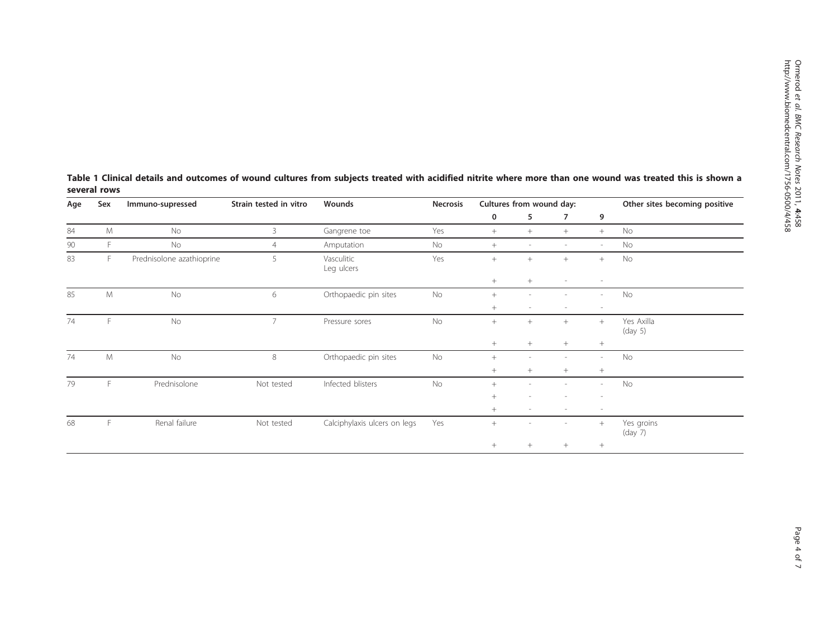| Age | Sex | Immuno-supressed          | Strain tested in vitro | Wounds                       | <b>Necrosis</b> | Cultures from wound day: |                          |                          |                          | Other sites becoming positive |
|-----|-----|---------------------------|------------------------|------------------------------|-----------------|--------------------------|--------------------------|--------------------------|--------------------------|-------------------------------|
|     |     |                           |                        |                              |                 | 0                        | 5                        | $\overline{7}$           | 9                        |                               |
| 84  | M   | <b>No</b>                 | 3                      | Gangrene toe                 | Yes             | $+$                      | $^{+}$                   | $+$                      | $+$                      | <b>No</b>                     |
| 90  | F   | <b>No</b>                 | $\overline{4}$         | Amputation                   | <b>No</b>       | $+$                      | $\sim$                   | $\sim$                   | $\overline{\phantom{a}}$ | No                            |
| 83  | F.  | Prednisolone azathioprine | 5                      | Vasculitic<br>Leg ulcers     | Yes             | $^{+}$                   | $^{+}$                   | $+$                      | $+$                      | No                            |
|     |     |                           |                        |                              |                 | $^{+}$                   | $+$                      | $\sim$                   | $\sim$                   |                               |
| 85  | M   | <b>No</b>                 | 6                      | Orthopaedic pin sites        | No              | $^{+}$                   |                          |                          |                          | No                            |
|     |     |                           |                        |                              |                 | $+$                      | $\overline{\phantom{a}}$ | $\sim$                   | $\overline{\phantom{a}}$ |                               |
| 74  | F   | No                        | 7                      | Pressure sores               | <b>No</b>       | $^{+}$                   | $+$                      | $^{+}$                   | $^{+}$                   | Yes Axilla<br>$\frac{day}{5}$ |
|     |     |                           |                        |                              |                 | $^{+}$                   | $+$                      | $+$                      | $^{+}$                   |                               |
| 74  | M   | <b>No</b>                 | 8                      | Orthopaedic pin sites        | No              | $^{+}$                   |                          |                          |                          | No                            |
|     |     |                           |                        |                              |                 | $^{+}$                   | $^{+}$                   | $+$                      | $^{+}$                   |                               |
| 79  | F.  | Prednisolone              | Not tested             | Infected blisters            | <b>No</b>       | $^{+}$                   |                          |                          | ٠                        | <b>No</b>                     |
|     |     |                           |                        |                              |                 | $^{+}$                   |                          |                          | $\overline{\phantom{a}}$ |                               |
|     |     |                           |                        |                              |                 | $^{+}$                   | $\sim$                   | $\overline{\phantom{a}}$ | $\overline{\phantom{a}}$ |                               |
| 68  | F   | Renal failure             | Not tested             | Calciphylaxis ulcers on legs | Yes             | $+$                      |                          |                          | $^{+}$                   | Yes groins<br>$\frac{day}{7}$ |
|     |     |                           |                        |                              |                 | $^{+}$                   |                          |                          | $^{+}$                   |                               |

<span id="page-3-0"></span>Table <sup>1</sup> Clinical details and outcomes of wound cultures from subjects treated with acidified nitrite where more than one wound was treated this is shown <sup>a</sup> several rows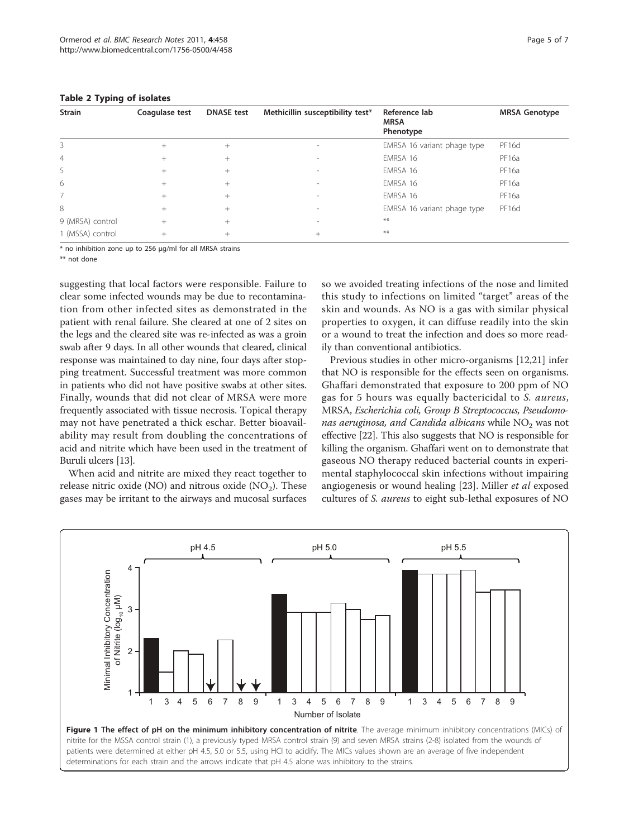<span id="page-4-0"></span>

|  |  |  | Table 2 Typing of isolates |  |  |  |
|--|--|--|----------------------------|--|--|--|
|--|--|--|----------------------------|--|--|--|

| <b>Strain</b>    | Coagulase test | <b>DNASE</b> test | Methicillin susceptibility test* | Reference lab<br><b>MRSA</b><br>Phenotype | <b>MRSA Genotype</b> |
|------------------|----------------|-------------------|----------------------------------|-------------------------------------------|----------------------|
| 3                | $^{+}$         | $^{+}$            |                                  | EMRSA 16 variant phage type               | PF16d                |
| $\overline{4}$   | $^+$           | $^{+}$            |                                  | EMRSA 16                                  | PF16a                |
| 5                | $^+$           | $^{+}$            |                                  | EMRSA 16                                  | PF16a                |
| 6                |                | $^{+}$            |                                  | EMRSA 16                                  | PF16a                |
|                  | $^+$           | $^{+}$            |                                  | EMRSA 16                                  | PF16a                |
| 8                | $^+$           | $^{+}$            |                                  | EMRSA 16 variant phage type               | <b>PF16d</b>         |
| 9 (MRSA) control | $^{+}$         | $^{+}$            |                                  | $***$                                     |                      |
| 1 (MSSA) control | $^{+}$         | $^{+}$            | $^{+}$                           | $***$                                     |                      |

\* no inhibition zone up to 256 μg/ml for all MRSA strains

\*\* not done

suggesting that local factors were responsible. Failure to clear some infected wounds may be due to recontamination from other infected sites as demonstrated in the patient with renal failure. She cleared at one of 2 sites on the legs and the cleared site was re-infected as was a groin swab after 9 days. In all other wounds that cleared, clinical response was maintained to day nine, four days after stopping treatment. Successful treatment was more common in patients who did not have positive swabs at other sites. Finally, wounds that did not clear of MRSA were more frequently associated with tissue necrosis. Topical therapy may not have penetrated a thick eschar. Better bioavailability may result from doubling the concentrations of acid and nitrite which have been used in the treatment of Buruli ulcers [\[13\]](#page-6-0).

When acid and nitrite are mixed they react together to release nitric oxide (NO) and nitrous oxide (NO<sub>2</sub>). These gases may be irritant to the airways and mucosal surfaces

so we avoided treating infections of the nose and limited this study to infections on limited "target" areas of the skin and wounds. As NO is a gas with similar physical properties to oxygen, it can diffuse readily into the skin or a wound to treat the infection and does so more readily than conventional antibiotics.

Previous studies in other micro-organisms [[12,21\]](#page-6-0) infer that NO is responsible for the effects seen on organisms. Ghaffari demonstrated that exposure to 200 ppm of NO gas for 5 hours was equally bactericidal to S. aureus, MRSA, Escherichia coli, Group B Streptococcus, Pseudomonas aeruginosa, and Candida albicans while  $NO<sub>2</sub>$  was not effective [\[22\]](#page-6-0). This also suggests that NO is responsible for killing the organism. Ghaffari went on to demonstrate that gaseous NO therapy reduced bacterial counts in experimental staphylococcal skin infections without impairing angiogenesis or wound healing [[23\]](#page-6-0). Miller et al exposed cultures of S. aureus to eight sub-lethal exposures of NO

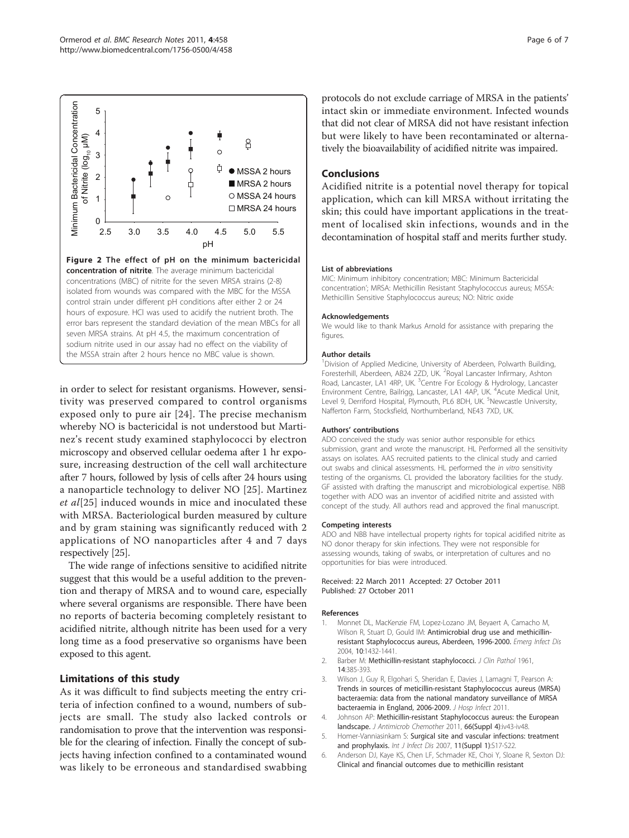<span id="page-5-0"></span>

in order to select for resistant organisms. However, sensitivity was preserved compared to control organisms exposed only to pure air [[24](#page-6-0)]. The precise mechanism whereby NO is bactericidal is not understood but Martinez's recent study examined staphylococci by electron microscopy and observed cellular oedema after 1 hr exposure, increasing destruction of the cell wall architecture after 7 hours, followed by lysis of cells after 24 hours using a nanoparticle technology to deliver NO [[25\]](#page-6-0). Martinez et al<sup>[[25](#page-6-0)]</sup> induced wounds in mice and inoculated these with MRSA. Bacteriological burden measured by culture and by gram staining was significantly reduced with 2 applications of NO nanoparticles after 4 and 7 days respectively [[25](#page-6-0)].

The wide range of infections sensitive to acidified nitrite suggest that this would be a useful addition to the prevention and therapy of MRSA and to wound care, especially where several organisms are responsible. There have been no reports of bacteria becoming completely resistant to acidified nitrite, although nitrite has been used for a very long time as a food preservative so organisms have been exposed to this agent.

## Limitations of this study

As it was difficult to find subjects meeting the entry criteria of infection confined to a wound, numbers of subjects are small. The study also lacked controls or randomisation to prove that the intervention was responsible for the clearing of infection. Finally the concept of subjects having infection confined to a contaminated wound was likely to be erroneous and standardised swabbing

protocols do not exclude carriage of MRSA in the patients' intact skin or immediate environment. Infected wounds that did not clear of MRSA did not have resistant infection but were likely to have been recontaminated or alternatively the bioavailability of acidified nitrite was impaired.

## Conclusions

Acidified nitrite is a potential novel therapy for topical application, which can kill MRSA without irritating the skin; this could have important applications in the treatment of localised skin infections, wounds and in the decontamination of hospital staff and merits further study.

#### List of abbreviations

MIC: Minimum inhibitory concentration; MBC: Minimum Bactericidal concentration'; MRSA: Methicillin Resistant Staphylococcus aureus; MSSA: Methicillin Sensitive Staphylococcus aureus; NO: Nitric oxide

#### Acknowledgements

We would like to thank Markus Arnold for assistance with preparing the figures.

#### Author details

<sup>1</sup> Division of Applied Medicine, University of Aberdeen, Polwarth Building, Foresterhill, Aberdeen, AB24 2ZD, UK. <sup>2</sup>Royal Lancaster Infirmary, Ashton Road, Lancaster, LA1 4RP, UK. <sup>3</sup>Centre For Ecology & Hydrology, Lancaster Environment Centre, Bailrigg, Lancaster, LA1 4AP, UK. <sup>4</sup> Acute Medical Unit, Level 9, Derriford Hospital, Plymouth, PL6 8DH, UK. <sup>5</sup>Newcastle University, Nafferton Farm, Stocksfield, Northumberland, NE43 7XD, UK.

#### Authors' contributions

ADO conceived the study was senior author responsible for ethics submission, grant and wrote the manuscript. HL Performed all the sensitivity assays on isolates. AAS recruited patients to the clinical study and carried out swabs and clinical assessments. HL performed the in vitro sensitivity testing of the organisms. CL provided the laboratory facilities for the study. GF assisted with drafting the manuscript and microbiological expertise. NBB together with ADO was an inventor of acidified nitrite and assisted with concept of the study. All authors read and approved the final manuscript.

#### Competing interests

ADO and NBB have intellectual property rights for topical acidified nitrite as NO donor therapy for skin infections. They were not responsible for assessing wounds, taking of swabs, or interpretation of cultures and no opportunities for bias were introduced.

#### Received: 22 March 2011 Accepted: 27 October 2011 Published: 27 October 2011

#### References

- 1. Monnet DL, MacKenzie FM, Lopez-Lozano JM, Beyaert A, Camacho M, Wilson R, Stuart D, Gould IM: [Antimicrobial drug use and methicillin](http://www.ncbi.nlm.nih.gov/pubmed/15496245?dopt=Abstract)[resistant Staphylococcus aureus, Aberdeen, 1996-2000.](http://www.ncbi.nlm.nih.gov/pubmed/15496245?dopt=Abstract) Emerg Infect Dis 2004, 10:1432-1441.
- 2. Barber M: [Methicillin-resistant staphylococci.](http://www.ncbi.nlm.nih.gov/pubmed/13686776?dopt=Abstract) J Clin Pathol 1961, 14:385-393.
- 3. Wilson J, Guy R, Elgohari S, Sheridan E, Davies J, Lamagni T, Pearson A: Trends in sources of meticillin-resistant Staphylococcus aureus (MRSA) bacteraemia: data from the national mandatory surveillance of MRSA bacteraemia in England, 2006-2009. J Hosp Infect 2011.
- 4. Johnson AP: [Methicillin-resistant Staphylococcus aureus: the European](http://www.ncbi.nlm.nih.gov/pubmed/21521706?dopt=Abstract) [landscape.](http://www.ncbi.nlm.nih.gov/pubmed/21521706?dopt=Abstract) J Antimicrob Chemother 2011, 66(Suppl 4):iv43-iv48.
- 5. Homer-Vanniasinkam S: [Surgical site and vascular infections: treatment](http://www.ncbi.nlm.nih.gov/pubmed/18162241?dopt=Abstract) [and prophylaxis.](http://www.ncbi.nlm.nih.gov/pubmed/18162241?dopt=Abstract) Int J Infect Dis 2007, 11(Suppl 1):S17-S22.
- 6. Anderson DJ, Kaye KS, Chen LF, Schmader KE, Choi Y, Sloane R, Sexton DJ: [Clinical and financial outcomes due to methicillin resistant](http://www.ncbi.nlm.nih.gov/pubmed/20016850?dopt=Abstract)